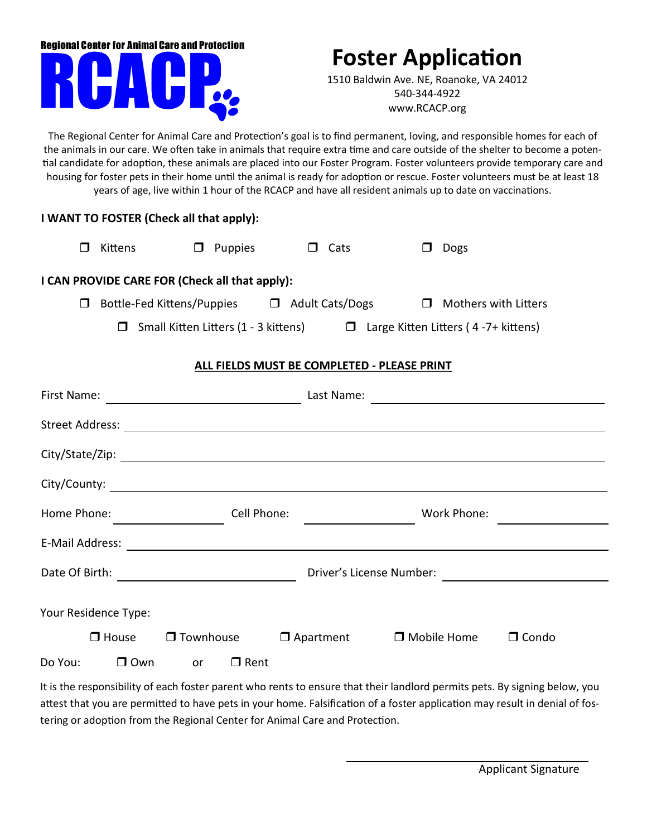## **Regional Center for Animal Care and Protection**

## **Foster Application**

1510 Baldwin Ave. NE, Roanoke, VA 24012 540-344-4922 www.RCACP.org

The Regional Center for Animal Care and Protection's goal is to find permanent, loving, and responsible homes for each of the animals in our care. We often take in animals that require extra time and care outside of the shelter to become a potential candidate for adoption, these animals are placed into our Foster Program. Foster volunteers provide temporary care and housing for foster pets in their home until the animal is ready for adoption or rescue. Foster volunteers must be at least 18 years of age, live within 1 hour of the RCACP and have all resident animals up to date on vaccinations.

## **I WANT TO FOSTER (Check all that apply):**

|                        |                                                                               | Kittens                                        | ப | Puppies |            |  | Cats                                                                                   |  |  | Dogs |  |
|------------------------|-------------------------------------------------------------------------------|------------------------------------------------|---|---------|------------|--|----------------------------------------------------------------------------------------|--|--|------|--|
|                        |                                                                               | I CAN PROVIDE CARE FOR (Check all that apply): |   |         |            |  |                                                                                        |  |  |      |  |
|                        | Bottle-Fed Kittens/Puppies □ Adult Cats/Dogs □ Mothers with Litters<br>$\Box$ |                                                |   |         |            |  |                                                                                        |  |  |      |  |
|                        |                                                                               |                                                |   |         |            |  | $\Box$ Small Kitten Litters (1 - 3 kittens) $\Box$ Large Kitten Litters (4-7+ kittens) |  |  |      |  |
|                        | ALL FIELDS MUST BE COMPLETED - PLEASE PRINT                                   |                                                |   |         |            |  |                                                                                        |  |  |      |  |
| First Name:            |                                                                               |                                                |   |         | Last Name: |  |                                                                                        |  |  |      |  |
| <b>Street Address:</b> |                                                                               |                                                |   |         |            |  |                                                                                        |  |  |      |  |
| City/State/Zip:        |                                                                               |                                                |   |         |            |  |                                                                                        |  |  |      |  |
| City/County:           |                                                                               |                                                |   |         |            |  |                                                                                        |  |  |      |  |

| Home Phone:                                |                      |                  | Cell Phone: |                  | Work Phone:        |              |
|--------------------------------------------|----------------------|------------------|-------------|------------------|--------------------|--------------|
| E-Mail Address:                            |                      |                  |             |                  |                    |              |
| Date Of Birth:<br>Driver's License Number: |                      |                  |             |                  |                    |              |
|                                            | Your Residence Type: |                  |             |                  |                    |              |
|                                            | $\Box$ House         | $\Box$ Townhouse |             | $\Box$ Apartment | $\Box$ Mobile Home | $\Box$ Condo |
| Do You:                                    | □ Own                | or               | $\Box$ Rent |                  |                    |              |

It is the responsibility of each foster parent who rents to ensure that their landlord permits pets. By signing below, you attest that you are permitted to have pets in your home. Falsification of a foster application may result in denial of fostering or adoption from the Regional Center for Animal Care and Protection.